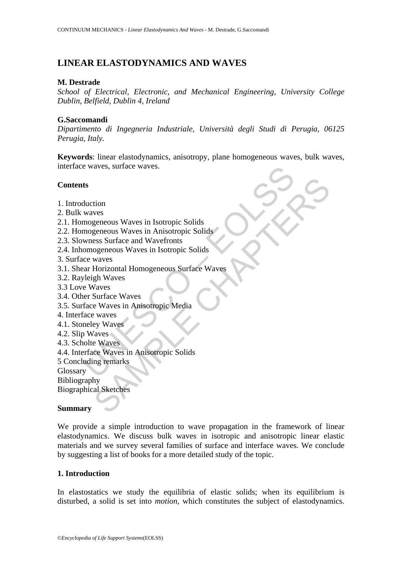# **LINEAR ELASTODYNAMICS AND WAVES**

# **M. Destrade**

*School of Electrical, Electronic, and Mechanical Engineering, University College Dublin, Belfield, Dublin 4, Ireland*

# **G.Saccomandi**

*Dipartimento di Ingegneria Industriale, Università degli Studi di Perugia, 06125 Perugia, Italy.*

**Keywords**: linear elastodynamics, anisotropy, plane homogeneous waves, bulk waves, interface waves, surface waves.

# **Contents**

- 1. Introduction
- 2. Bulk waves
- 2.1. Homogeneous Waves in Isotropic Solids
- 2.2. Homogeneous Waves in Anisotropic Solids
- 2.3. Slowness Surface and Wavefronts
- 2.4. Inhomogeneous Waves in Isotropic Solids
- 3. Surface waves
- e waves, surface waves.<br>
ts<br>
duction<br>
waves<br>
mogeneous Waves in Isotropic Solids<br>
mogeneous Waves in Anisotropic Solids<br>
wness Surface and Wavefronts<br>
omogeneous Waves in Isotropic Solids<br>
cc waves<br>
are Waves<br>
pleigh Waves tion<br>
ves<br>
syeneous Waves in Isotropic Solids<br>
seneous Waves in Anisotropic Solids<br>
ses Surface and Wavefronts<br>
waves<br>
More chapter in Isotropic Solids<br>
Vaves<br>
Vaves<br>
Surface Waves<br>
Surface Waves<br>
Surface Waves<br>
e Waves<br>
e 3.1. Shear Horizontal Homogeneous Surface Waves
- 3.2. Rayleigh Waves
- 3.3 Love Waves
- 3.4. Other Surface Waves
- 3.5. Surface Waves in Anisotropic Media
- 4. Interface waves
- 4.1. Stoneley Waves
- 4.2. Slip Waves
- 4.3. Scholte Waves
- 4.4. Interface Waves in Anisotropic Solids
- 5 Concluding remarks

Glossary

Bibliography

Biographical Sketches

# **Summary**

We provide a simple introduction to wave propagation in the framework of linear elastodynamics. We discuss bulk waves in isotropic and anisotropic linear elastic materials and we survey several families of surface and interface waves. We conclude by suggesting a list of books for a more detailed study of the topic.

# **1. Introduction**

In elastostatics we study the equilibria of elastic solids; when its equilibrium is disturbed, a solid is set into *motion*, which constitutes the subject of elastodynamics.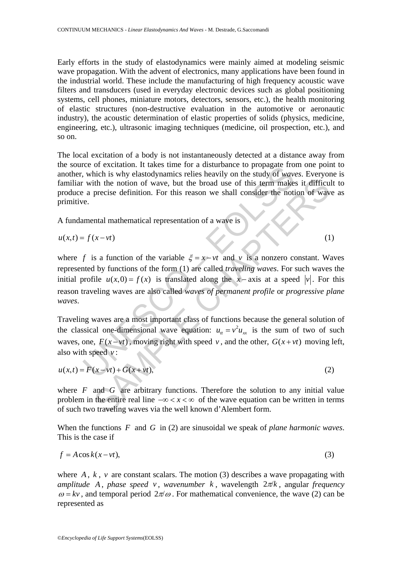Early efforts in the study of elastodynamics were mainly aimed at modeling seismic wave propagation. With the advent of electronics, many applications have been found in the industrial world. These include the manufacturing of high frequency acoustic wave filters and transducers (used in everyday electronic devices such as global positioning systems, cell phones, miniature motors, detectors, sensors, etc.), the health monitoring of elastic structures (non-destructive evaluation in the automotive or aeronautic industry), the acoustic determination of elastic properties of solids (physics, medicine, engineering, etc.), ultrasonic imaging techniques (medicine, oil prospection, etc.), and so on.

The local excitation of a body is not instantaneously detected at a distance away from the source of excitation. It takes time for a disturbance to propagate from one point to another, which is why elastodynamics relies heavily on the study of *waves*. Everyone is familiar with the notion of wave, but the broad use of this term makes it difficult to produce a precise definition. For this reason we shall consider the notion of wave as primitive.

A fundamental mathematical representation of a wave is

$$
u(x,t) = f(x - vt) \tag{1}
$$

the orientation: It takes the for a transformation to propagate ito<br>
which is why elastodynamics relies heavily on the study of *war*,<br>
with the notion of wave, but the broad use of this term make<br>
a precise definition. F it is motion of wave, but the broad use of this term makes it difficult<br>precise definition. For this reason we shall consider the notion of wave<br>precise definition. For this reason we shall consider the notion of way<br>anta where *f* is a function of the variable  $\xi = x - vt$  and *v* is a nonzero constant. Waves represented by functions of the form (1) are called *traveling waves*. For such waves the initial profile  $u(x, 0) = f(x)$  is translated along the *x* − axis at a speed |v|. For this reason traveling waves are also called *waves of permanent profile* or *progressive plane waves*.

Traveling waves are a most important class of functions because the general solution of the classical one-dimensional wave equation:  $u_{tt} = v^2 u_{xx}$  is the sum of two of such waves, one,  $F(x - vt)$ , moving right with speed *v*, and the other,  $G(x + vt)$  moving left, also with speed *v* :

$$
u(x,t) = F(x - vt) + G(x + vt),
$$
 (2)

where  $F$  and  $G$  are arbitrary functions. Therefore the solution to any initial value problem in the entire real line  $-\infty < x < \infty$  of the wave equation can be written in terms of such two traveling waves via the well known d'Alembert form.

When the functions *F* and *G* in (2) are sinusoidal we speak of *plane harmonic waves*. This is the case if

$$
f = A\cos k(x - vt),\tag{3}
$$

where  $A, k, v$  are constant scalars. The motion (3) describes a wave propagating with *amplitude A* , *phase speed v* , *wavenumber k* , wavelength 2π/*k* , angular *frequency*  $\omega = kv$ , and temporal period  $2\pi/\omega$ . For mathematical convenience, the wave (2) can be represented as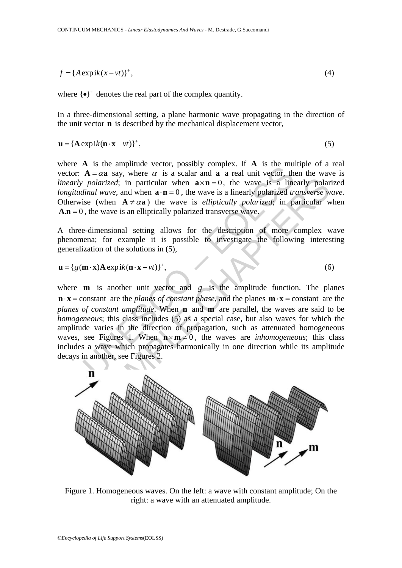$$
f = \{A \exp\mathrm{i}k(x - vt)\}^*,\tag{4}
$$

where  $\{\bullet\}^+$  denotes the real part of the complex quantity.

In a three-dimensional setting, a plane harmonic wave propagating in the direction of the unit vector **n** is described by the mechanical displacement vector,

$$
\mathbf{u} = {\mathbf{A} \exp\mathrm{i}k(\mathbf{n} \cdot \mathbf{x} - vt)}^*,
$$
 (5)

where **A** is the amplitude vector, possibly complex. If **A** is the multiple of a real vector:  $A = \alpha a$  say, where  $\alpha$  is a scalar and **a** a real unit vector, then the wave is *linearly polarized*; in particular when  $\mathbf{a} \times \mathbf{n} = 0$ , the wave is a linearly polarized *longitudinal wave*, and when  $\mathbf{a} \cdot \mathbf{n} = 0$ , the wave is a linearly polarized *transverse wave*. Otherwise (when  $A \neq \alpha a$ ) the wave is *elliptically polarized*; in particular when  $\mathbf{A} \cdot \mathbf{n} = 0$ , the wave is an elliptically polarized transverse wave.

A three-dimensional setting allows for the description of more complex wave phenomena; for example it is possible to investigate the following interesting generalization of the solutions in (5),

$$
\mathbf{u} = \{g(\mathbf{m} \cdot \mathbf{x}) \mathbf{A} \exp\mathrm{i}k(\mathbf{n} \cdot \mathbf{x} - vt)\}^*,\tag{6}
$$

**Example 10** and the propagation and **A** a can different  $\mathbf{A} = \alpha \mathbf{a}$  say, where  $\alpha$  is a scalar and **a** a real unit vector, the *polarized*; in particular when  $\mathbf{a} \cdot \mathbf{n} = 0$ , the wave is a line *final wave*, a *colarized*; in particular when  $\mathbf{a} \times \mathbf{n} = 0$ , the wave is a linearly polarized; in particular when  $\mathbf{a} \cdot \mathbf{n} = 0$ , the wave is a linearly polarized *ransverse* w (when  $\mathbf{A} \neq \alpha \mathbf{a}$ ) the wave is *elliptica* where **m** is another unit vector and  $g$  is the amplitude function. The planes  $\mathbf{n} \cdot \mathbf{x} = \text{constant}$  are the *planes of constant phase*, and the planes  $\mathbf{m} \cdot \mathbf{x} = \text{constant}$  are the *planes of constant amplitude*. When **n** and **m** are parallel, the waves are said to be *homogeneous*; this class includes (5) as a special case, but also waves for which the amplitude varies in the direction of propagation, such as attenuated homogeneous waves, see Figures 1. When  $n \times m \neq 0$ , the waves are *inhomogeneous*; this class includes a wave which propagates harmonically in one direction while its amplitude decays in another, see Figures 2.



Figure 1. Homogeneous waves. On the left: a wave with constant amplitude; On the right: a wave with an attenuated amplitude.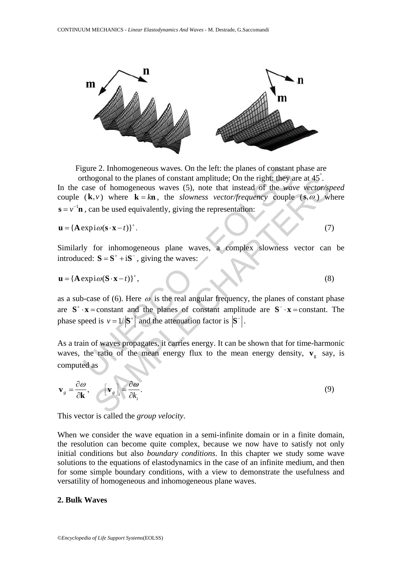

Figure 2. Inhomogeneous waves. On the left: the planes of constant phase are

gure 2. Inhomogeneous waves. On the left: the planes of constant<br>rthogonal to the planes of constant amplitude; On the right; they a<br>case of homogeneous waves (5), note that instead of the *wav*<br>(**k**,*v*) where **k** = **kn** be of homogeneous waves (5), note that instead of the wave vector/s<br>  $\mathbf{r} = \mathbf{r} \mathbf{S} \mathbf{R}$ , where  $\mathbf{K} = \mathbf{km}$ , the *showness* vector/frequency couple (s,  $\omega$ ) w<br>
an be used equivalently, giving the representati orthogonal to the planes of constant amplitude; On the right: they are at 45° . In the case of homogeneous waves (5), note that instead of the *wave vector/speed* couple  $(\mathbf{k}, v)$  where  $\mathbf{k} = k\mathbf{n}$ , the *slowness vector/frequency* couple  $(\mathbf{s}, \omega)$  where  $\mathbf{s} = v^{-1}\mathbf{n}$ , can be used equivalently, giving the representation:

 ${\bf u} = {\bf A} \exp(i\omega({\bf s} \cdot {\bf x} - t))^{+}$ . (7)

Similarly for inhomogeneous plane waves, a complex slowness vector can be introduced:  $S = S^+ + iS^-$ , giving the waves:

$$
\mathbf{u} = {\mathbf{A} \exp(i\omega(\mathbf{S} \cdot \mathbf{x} - t))}^*,\tag{8}
$$

as a sub-case of (6). Here  $\omega$  is the real angular frequency, the planes of constant phase are  $S^+ \cdot x =$ constant and the planes of constant amplitude are  $S^- \cdot x =$ constant. The phase speed is  $v = 1/\mathbf{S}^+$  and the attenuation factor is  $\mathbf{S}^-$ .

As a train of waves propagates, it carries energy. It can be shown that for time-harmonic waves, the ratio of the mean energy flux to the mean energy density,  $\mathbf{v}_s$  say, is computed as

$$
\mathbf{v}_g = \frac{\partial \omega}{\partial \mathbf{k}}, \qquad [\mathbf{v}_g]_i = \frac{\partial \omega}{\partial k_i}.
$$
 (9)

This vector is called the *group velocity*.

When we consider the wave equation in a semi-infinite domain or in a finite domain, the resolution can become quite complex, because we now have to satisfy not only initial conditions but also *boundary conditions*. In this chapter we study some wave solutions to the equations of elastodynamics in the case of an infinite medium, and then for some simple boundary conditions, with a view to demonstrate the usefulness and versatility of homogeneous and inhomogeneous plane waves.

### **2. Bulk Waves**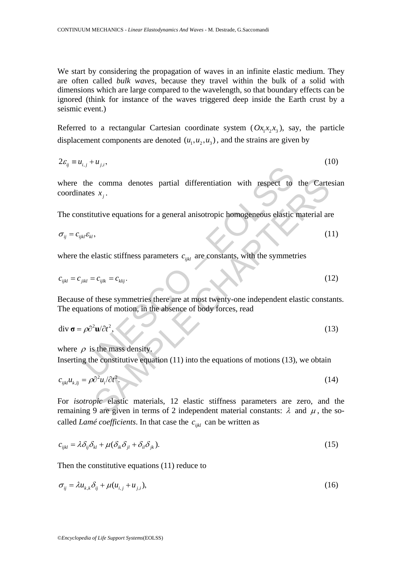We start by considering the propagation of waves in an infinite elastic medium. They are often called *bulk waves*, because they travel within the bulk of a solid with dimensions which are large compared to the wavelength, so that boundary effects can be ignored (think for instance of the waves triggered deep inside the Earth crust by a seismic event.)

Referred to a rectangular Cartesian coordinate system  $(Ox_1x_2, x_3)$ , say, the particle displacement components are denoted  $(u_1, u_2, u_3)$ , and the strains are given by

 $2\varepsilon_{ii} \equiv u_{i,i} + u_{i,i}$ , (10)

the comma denotes partial differentiation with respect to<br>thes  $x_j$ .<br>stitutive equations for a general anisotropic homogeneous elastic<br>des  $x_j$ .<br>the elastic stiffness parameters  $c_{ijkl}$  are constants, with the symmetric<br>wa comma denotes partial differentiation with respect to the Carte<br>
S  $x_j$ .<br>
utive equations for a general anisotropic homogeneous elastic material ar<br>
,<br>
(1<br>
elastic stiffness parameters  $c_{ijkl}$  are constants, with the symm where the comma denotes partial differentiation with respect to the Cartesian coordinates  $x_i$ .

The constitutive equations for a general anisotropic homogeneous elastic material are

$$
\sigma_{ij} = c_{ijkl} \varepsilon_{kl},\tag{11}
$$

where the elastic stiffness parameters  $c_{ijkl}$  are constants, with the symmetries

$$
c_{ijkl} = c_{jikl} = c_{klij}.
$$
\n
$$
(12)
$$

Because of these symmetries there are at most twenty-one independent elastic constants. The equations of motion, in the absence of body forces, read

$$
\operatorname{div} \boldsymbol{\sigma} = \rho \partial^2 \mathbf{u} / \partial t^2, \tag{13}
$$

where  $\rho$  is the mass density. Inserting the constitutive equation  $(11)$  into the equations of motions  $(13)$ , we obtain

$$
c_{ijkl}u_{k,lj} = \rho \partial^2 u_i / \partial t^2. \tag{14}
$$

For *isotropic* elastic materials, 12 elastic stiffness parameters are zero, and the remaining 9 are given in terms of 2 independent material constants: λ and  $μ$ , the socalled *Lamé coefficients*. In that case the  $c_{ijkl}$  can be written as

$$
c_{ijkl} = \lambda \delta_{ij} \delta_{kl} + \mu (\delta_{ik} \delta_{jl} + \delta_{il} \delta_{jk}).
$$
\n(15)

Then the constitutive equations (11) reduce to

$$
\sigma_{ij} = \lambda u_{k,k} \delta_{ij} + \mu (u_{i,j} + u_{j,i}), \qquad (16)
$$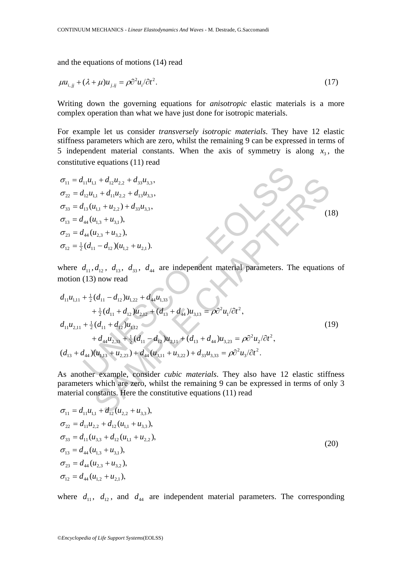and the equations of motions (14) read

$$
\mu u_{i,j} + (\lambda + \mu) u_{j,ij} = \rho \partial^2 u_i / \partial t^2.
$$
 (17)

Writing down the governing equations for *anisotropic* elastic materials is a more complex operation than what we have just done for isotropic materials.

For example let us consider *transversely isotropic materials*. They have 12 elastic stiffness parameters which are zero, whilst the remaining 9 can be expressed in terms of 5 independent material constants. When the axis of symmetry is along  $x<sub>3</sub>$ , the constitutive equations (11) read

σ<sub>11</sub> = d<sub>11</sub>u<sub>1,1</sub> + d<sub>12</sub>u<sub>2,2</sub> + d<sub>33</sub>u<sub>3,3</sub>,  
\nσ<sub>22</sub> = d<sub>12</sub>u<sub>1,1</sub> + d<sub>11</sub>u<sub>2,2</sub> + d<sub>13</sub>u<sub>3,3</sub>,  
\nσ<sub>33</sub> = d<sub>13</sub>(u<sub>1,1</sub> + u<sub>2,2</sub>) + d<sub>33</sub>u<sub>3,3</sub>,  
\nσ<sub>13</sub> = d<sub>44</sub>(u<sub>2,3</sub> + u<sub>3,1</sub>),  
\nσ<sub>23</sub> = d<sub>44</sub>(u<sub>2,3</sub> + u<sub>3,2</sub>),  
\nσ<sub>12</sub> = 
$$
\frac{1}{2}
$$
(d<sub>11</sub> - d<sub>12</sub>)(u<sub>1,2</sub> + u<sub>2,1</sub>).  
\nwhere d<sub>11</sub>, d<sub>12</sub>, d<sub>13</sub>, d<sub>33</sub>, d<sub>44</sub> are independent material parameters. The equations  
\nmotion (13) now read  
\n
$$
d_{11}u_{1,11} + \frac{1}{2}(d_{11} - d_{12})u_{1,22} + d_{44}u_{1,33} + \frac{1}{2}(d_{11} + d_{12})u_{2,12} + (d_{13} + d_{44})u_{3,13} = ρ∂2u1/∂t2,\nd11u2,11 +  $\frac{1}{2}$ (d<sub>11</sub> + d<sub>12</sub>)u<sub>1,12</sub>  
\n+ d<sub>44</sub>u<sub>2,33</sub> +  $\frac{1}{2}$ (d<sub>11</sub> - d<sub>12</sub>)u<sub>2,11</sub> + (d<sub>13</sub> + d<sub>44</sub>)u<sub>3,23</sub> = ρ∂<sup>2</sup>u<sub>2</sub>/∂t<sup>2</sup>,  
\n(d<sub>1</sub>
$$

where  $d_{11}$ ,  $d_{12}$ ,  $d_{13}$ ,  $d_{33}$ ,  $d_{44}$  are independent material parameters. The equations of motion (13) now read

$$
d_{11}u_{1,11} + \frac{1}{2}(d_{11} - d_{12})u_{1,22} + d_{44}u_{1,33} + \frac{1}{2}(d_{11} + d_{12})u_{2,12} + (d_{13} + d_{44})u_{3,13} = \rho \partial^2 u_1/\partial t^2, d_{11}u_{2,11} + \frac{1}{2}(d_{11} + d_{12})u_{1,12} + d_{44}u_{2,33} + \frac{1}{2}(d_{11} - d_{12})u_{2,11} + (d_{13} + d_{44})u_{3,23} = \rho \partial^2 u_2/\partial t^2, (d_{13} + d_{44})(u_{1,13} + u_{2,23}) + d_{44}(u_{3,11} + u_{3,22}) + d_{33}u_{3,33} = \rho \partial^2 u_3/\partial t^2.
$$
\n
$$
(19)
$$

As another example, consider *cubic materials*. They also have 12 elastic stiffness parameters which are zero, whilst the remaining 9 can be expressed in terms of only 3 material constants. Here the constitutive equations (11) read

$$
\sigma_{11} = d_{11}u_{1,1} + d_{12}(u_{2,2} + u_{3,3}),
$$
\n
$$
\sigma_{22} = d_{11}u_{2,2} + d_{12}(u_{1,1} + u_{3,3}),
$$
\n
$$
\sigma_{33} = d_{11}(u_{3,3} + d_{12}(u_{1,1} + u_{2,2}),
$$
\n
$$
\sigma_{13} = d_{44}(u_{1,3} + u_{3,1}),
$$
\n
$$
\sigma_{23} = d_{44}(u_{2,3} + u_{3,2}),
$$
\n
$$
\sigma_{12} = d_{44}(u_{1,2} + u_{2,1}),
$$
\n(20)

where  $d_{11}$ ,  $d_{12}$ , and  $d_{44}$  are independent material parameters. The corresponding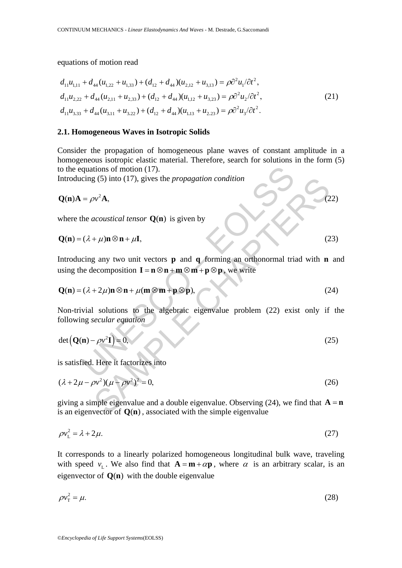equations of motion read

$$
d_{11}u_{1,11} + d_{44}(u_{1,22} + u_{1,33}) + (d_{12} + d_{44})(u_{2,12} + u_{3,13}) = \rho \partial^2 u_1 / \partial t^2,
$$
  
\n
$$
d_{11}u_{2,22} + d_{44}(u_{2,11} + u_{2,33}) + (d_{12} + d_{44})(u_{1,12} + u_{3,23}) = \rho \partial^2 u_2 / \partial t^2,
$$
  
\n
$$
d_{11}u_{3,33} + d_{44}(u_{3,11} + u_{3,22}) + (d_{12} + d_{44})(u_{1,13} + u_{2,23}) = \rho \partial^2 u_3 / \partial t^2.
$$
\n(21)

### **2.1. Homogeneous Waves in Isotropic Solids**

Consider the propagation of homogeneous plane waves of constant amplitude in a homogeneous isotropic elastic material. Therefore, search for solutions in the form (5) to the equations of motion (17).

Introducing (5) into (17), gives the *propagation condition*

$$
\mathbf{Q(n)}\mathbf{A} = \rho v^2 \mathbf{A},\tag{22}
$$

where the *acoustical tensor*  $Q(n)$  is given by

$$
\mathbf{Q}(\mathbf{n}) = (\lambda + \mu)\mathbf{n} \otimes \mathbf{n} + \mu \mathbf{I},\tag{23}
$$

quations of motion (17).<br>  $=\rho v^2 \mathbf{A}$ ,<br>  $= \rho v^2 \mathbf{A}$ ,<br>
the acoustical tensor Q(n) is given by<br>  $(\lambda + \mu) \mathbf{n} \otimes \mathbf{n} + \mu \mathbf{I}$ ,<br>  $(\lambda + \mu) \mathbf{n} \otimes \mathbf{n} + \mu \mathbf{I}$ ,<br>  $\therefore$   $(\lambda + 2\mu) \mathbf{n} \otimes \mathbf{n} + \mu (\mathbf{m} \otimes \mathbf{m} + \mathbf{p} \otimes$  $\mathbf{w}^2 \mathbf{A}$ ,<br>  $\mathbf{w}^2 \mathbf{A}$ ,<br>  $\mathbf{w}^2 \mathbf{A}$ ,<br>  $\mathbf{w}^2 \mathbf{A}$ ,<br>  $\mathbf{w}^2 \mathbf{A}$ ,<br>  $\mathbf{w}^2 \mathbf{A}$ ,<br>  $\mathbf{w}^2 \mathbf{A}$ ,<br>  $\mathbf{w}^2 \mathbf{A}$ ,<br>  $\mathbf{w}^2 \mathbf{A}$ ,<br>  $\mathbf{w}^2 \mathbf{A}$ ,<br>  $\mathbf{w}^2 \mathbf{A}$ ,<br>  $\mathbf{w}^2 \mathbf$ Introducing any two unit vectors **p** and **q** forming an orthonormal triad with **n** and using the decomposition  $\mathbf{I} = \mathbf{n} \otimes \mathbf{n} + \mathbf{m} \otimes \mathbf{m} + \mathbf{p} \otimes \mathbf{p}$ , we write

$$
\mathbf{Q(n)} = (\lambda + 2\mu)\mathbf{n} \otimes \mathbf{n} + \mu(\mathbf{m} \otimes \mathbf{m} + \mathbf{p} \otimes \mathbf{p}),\tag{24}
$$

Non-trivial solutions to the algebraic eigenvalue problem (22) exist only if the following *secular equation*

$$
\det (\mathbf{Q(n)} - \rho v^2 \mathbf{I}) = 0, \tag{25}
$$

is satisfied. Here it factorizes into

$$
(\lambda + 2\mu - \rho v^2)(\mu - \rho v^2)^2 = 0,
$$
\n(26)

giving a simple eigenvalue and a double eigenvalue. Observing  $(24)$ , we find that  $\mathbf{A} = \mathbf{n}$ is an eigenvector of  $Q(n)$ , associated with the simple eigenvalue

$$
\rho v_{\rm L}^2 = \lambda + 2\mu. \tag{27}
$$

It corresponds to a linearly polarized homogeneous longitudinal bulk wave, traveling with speed  $v_L$ . We also find that  $A = m + \alpha p$ , where  $\alpha$  is an arbitrary scalar, is an eigenvector of  $Q(n)$  with the double eigenvalue

$$
\rho v_{\rm T}^2 = \mu. \tag{28}
$$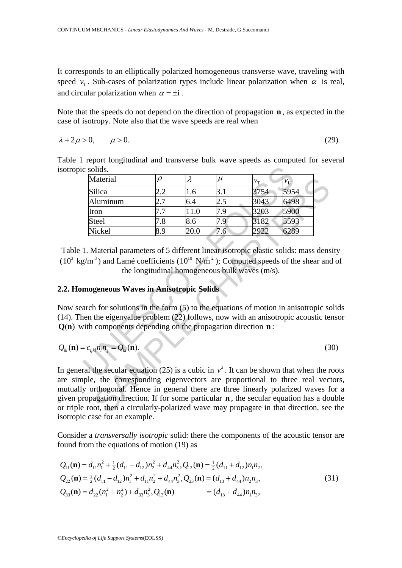It corresponds to an elliptically polarized homogeneous transverse wave, traveling with speed  $v<sub>r</sub>$ . Sub-cases of polarization types include linear polarization when  $\alpha$  is real, and circular polarization when  $\alpha = \pm i$ .

Note that the speeds do not depend on the direction of propagation **n** , as expected in the case of isotropy. Note also that the wave speeds are real when

$$
\lambda + 2\mu > 0, \qquad \mu > 0. \tag{29}
$$

Table 1 report longitudinal and transverse bulk wave speeds as computed for several isotropic solids.

| c solids.                                                                                                                                                                                                                                                                                                                                                                                                                 |        |           |       |             |                  |     |
|---------------------------------------------------------------------------------------------------------------------------------------------------------------------------------------------------------------------------------------------------------------------------------------------------------------------------------------------------------------------------------------------------------------------------|--------|-----------|-------|-------------|------------------|-----|
| Material                                                                                                                                                                                                                                                                                                                                                                                                                  | $\rho$ | $\lambda$ | $\mu$ | $v_{\rm T}$ | $\overline{V_L}$ |     |
| Silica                                                                                                                                                                                                                                                                                                                                                                                                                    | 2.2    | 1.6       | 3.1   | 3754        | 5954             |     |
| Aluminum                                                                                                                                                                                                                                                                                                                                                                                                                  | 2.7    | 6.4       | 2.5   | 3043        | 6498             |     |
| Iron                                                                                                                                                                                                                                                                                                                                                                                                                      | 7.7    | 11.0      | 7.9   | 3203        | 5900             |     |
| <b>Steel</b>                                                                                                                                                                                                                                                                                                                                                                                                              | 7.8    | 8.6       | 7.9   | 3182        | 5593             |     |
| Nickel                                                                                                                                                                                                                                                                                                                                                                                                                    | 8.9    | 20.0      | 7.6   | 2922        | 6289             |     |
| mogeneous Waves in Anisotropic Solids<br>arch for solutions in the form (5) to the equations of motion in anisotropic so<br>the eigenvalue problem (22) follows, now with an anisotropic acoustic ter-<br>vith components depending on the propagation direction $\mathbf{n}$ :                                                                                                                                           |        |           |       |             |                  |     |
| $=c_{ijkl}n_l n_j = Q_{ki}(\mathbf{n}).$                                                                                                                                                                                                                                                                                                                                                                                  |        |           |       |             |                  | (3) |
| ral the secular equation (25) is a cubic in $v^2$ . It can be shown that when the r<br>uple, the corresponding eigenvectors are proportional to three real vectors<br>y orthogonal. Hence in general there are three linearly polarized waves f<br>ropagation direction. If for some particular <b>n</b> , the secular equation has a do<br>e root, then a circularly-polarized wave may propagate in that direction, see |        |           |       |             |                  |     |

Table 1. Material parameters of 5 different linear isotropic elastic solids: mass density  $(10^3 \text{ kg/m}^3)$  and Lamé coefficients  $(10^{10} \text{ N/m}^2)$ ; Computed speeds of the shear and of the longitudinal homogeneous bulk waves (m/s).

# **2.2. Homogeneous Waves in Anisotropic Solids**

Now search for solutions in the form (5) to the equations of motion in anisotropic solids (14). Then the eigenvalue problem (22) follows, now with an anisotropic acoustic tensor **Q(n)** with components depending on the propagation direction **n**:

$$
Q_{ik}(\mathbf{n}) = c_{ijkl} n_l n_j = Q_{ki}(\mathbf{n}).
$$
\n(30)

In general the secular equation (25) is a cubic in  $v^2$ . It can be shown that when the roots are simple, the corresponding eigenvectors are proportional to three real vectors, mutually orthogonal. Hence in general there are three linearly polarized waves for a given propagation direction. If for some particular **n** , the secular equation has a double or triple root, then a circularly-polarized wave may propagate in that direction, see the isotropic case for an example.

Consider a *transversally isotropic* solid: there the components of the acoustic tensor are found from the equations of motion (19) as

$$
Q_{11}(\mathbf{n}) = d_{11}n_1^2 + \frac{1}{2}(d_{11} - d_{12})n_2^2 + d_{44}n_3^2, Q_{12}(\mathbf{n}) = \frac{1}{2}(d_{11} + d_{12})n_1n_2,
$$
  
\n
$$
Q_{22}(\mathbf{n}) = \frac{1}{2}(d_{11} - d_{12})n_1^2 + d_{11}n_2^2 + d_{44}n_3^2, Q_{23}(\mathbf{n}) = (d_{13} + d_{44})n_2n_3,
$$
  
\n
$$
Q_{33}(\mathbf{n}) = d_{22}(n_1^2 + n_2^2) + d_{33}n_3^2, Q_{13}(\mathbf{n}) = (d_{13} + d_{44})n_1n_3,
$$
\n(31)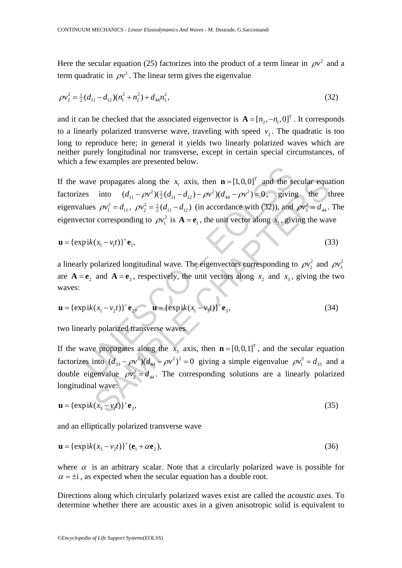Here the secular equation (25) factorizes into the product of a term linear in  $\rho v^2$  and a term quadratic in  $\rho v^2$ . The linear term gives the eigenvalue

$$
\rho v_2^2 = \frac{1}{2} (d_{11} - d_{12}) (n_1^2 + n_2^2) + d_{44} n_3^2, \tag{32}
$$

and it can be checked that the associated eigenvector is  $\mathbf{A} = [n_2, -n_1, 0]^T$ . It corresponds to a linearly polarized transverse wave, traveling with speed  $v_2$ . The quadratic is too long to reproduce here; in general it yields two linearly polarized waves which are neither purely longitudinal nor transverse, except in certain special circumstances, of which a few examples are presented below.

wave propagates along the  $x_1$  axis, then  $\mathbf{n} = [1, 0, 0]^T$  and the se<br>
es into  $(d_{11} - \rho v^2)(\frac{1}{2}(d_{11} - d_{12}) - \rho v^2)(d_{44} - \rho v^2) = 0$ , giving<br>
lues  $\rho v_1^2 = d_{11}$ ,  $\rho v_2^2 = \frac{1}{2}(d_{11} - d_{12})$  (in accordance with (32) e propagates along the  $x_1$  axis, then  $\mathbf{n} = [1, 0, 0]^T$  and the secular equal<br>into  $(d_{11} - \rho v^2)(\frac{1}{2}(d_{11} - d_{12}) - \rho v^2)(d_{44} - \rho v^2) = 0$ , giving the t<br>
s  $\rho v_1^2 = d_{11}$ ,  $\rho v_2^2 = \frac{1}{2}(d_{11} - d_{12})$  (in accordance wi If the wave propagates along the  $x_1$  axis, then  $\mathbf{n} = \begin{bmatrix} 1, 0, 0 \end{bmatrix}^T$  and the secular equation factorizes into  $(d_{11} - \rho v^2)(\frac{1}{2}(d_{11} - d_{12}) - \rho v^2)(d_{44} - \rho v^2) = 0$ , giving the three eigenvalues  $\rho v_1^2 = d_{11}$ ,  $\rho v_2^2 = \frac{1}{2}(d_{11} - d_{12})$  (in accordance with (32)), and  $\rho v_3^2 = d_{44}$ . The eigenvector corresponding to  $\rho v_1^2$  is  $\mathbf{A} = \mathbf{e}_1$ , the unit vector along  $x_1$ , giving the wave

$$
\mathbf{u} = {\exp ik(x_1 - v_1 t)}^+ \mathbf{e}_1,
$$
\n(33)

a linearly polarized longitudinal wave. The eigenvectors corresponding to  $\rho v_2^2$  and  $\rho v_3^2$ are  $\mathbf{A} = \mathbf{e}_2$  and  $\mathbf{A} = \mathbf{e}_3$ , respectively, the unit vectors along  $x_2$  and  $x_3$ , giving the two waves:

$$
\mathbf{u} = {\exp ik(x_1 - v_2 t)}^+ \mathbf{e}_2, \qquad \mathbf{u} = {\exp ik(x_1 - v_3 t)}^+ \mathbf{e}_3,
$$
 (34)

two linearly polarized transverse waves.

If the wave propagates along the  $x_3$  axis, then  $\mathbf{n} = [0, 0, 1]^T$ , and the secular equation factorizes into  $(d_{33} - \rho v^2)(d_{44} - \rho v^2)^2 = 0$  giving a simple eigenvalue  $\rho v_1^2 = d_{33}$  and a double eigenvalue  $\rho v_2^2 = d_{44}$ . The corresponding solutions are a linearly polarized longitudinal wave:

$$
\mathbf{u} = {\exp ik(x_3 - v_1t)}^+ \mathbf{e}_3,\tag{35}
$$

and an elliptically polarized transverse wave

$$
\mathbf{u} = {\exp ik(x_3 - v_2t)}^+(\mathbf{e}_1 + \alpha \mathbf{e}_2),
$$
\n(36)

where  $\alpha$  is an arbitrary scalar. Note that a circularly polarized wave is possible for  $\alpha = \pm i$ , as expected when the secular equation has a double root.

Directions along which circularly polarized waves exist are called the *acoustic axes*. To determine whether there are acoustic axes in a given anisotropic solid is equivalent to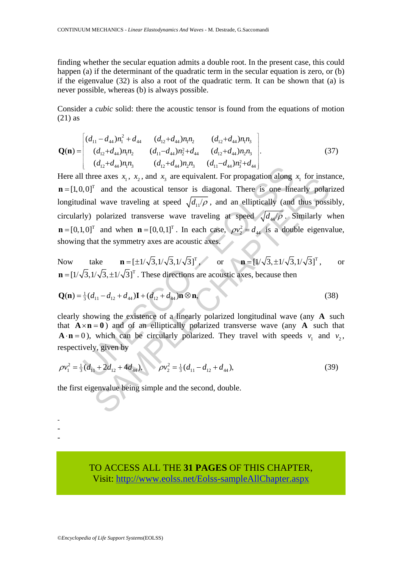finding whether the secular equation admits a double root. In the present case, this could happen (a) if the determinant of the quadratic term in the secular equation is zero, or (b) if the eigenvalue (32) is also a root of the quadratic term. It can be shown that (a) is never possible, whereas (b) is always possible.

Consider a *cubic* solid: there the acoustic tensor is found from the equations of motion (21) as

$$
\mathbf{Q}(\mathbf{n}) = \begin{bmatrix} (d_{11} - d_{44})n_1^2 + d_{44} & (d_{12} + d_{44})n_1n_2 & (d_{12} + d_{44})n_1n_3 \\ (d_{12} + d_{44})n_1n_2 & (d_{11} - d_{44})n_2^2 + d_{44} & (d_{12} + d_{44})n_2n_3 \\ (d_{12} + d_{44})n_1n_3 & (d_{12} + d_{44})n_2n_3 & (d_{11} - d_{44})n_3^2 + d_{44} \end{bmatrix}.
$$
 (37)

University of the accounting of the account of the account of the account of the account of the account of the account of  $\sqrt{d_{11}/\rho}$ , and an elliptically (and (y) polarized transverse wave traveling at speed  $\sqrt{d_{11}/\$ For any  $\lambda_1$ ,  $\lambda_2$ , and  $\lambda_3$  are equivalent. For propagation along  $\lambda_1$  for instant  $\Gamma$  and the acoustical tensor is diagonal. There is one linearly polar in a speed  $\sqrt{d_H/\rho}$ , and an elliptically (and thus poss Here all three axes  $x_1$ ,  $x_2$ , and  $x_3$  are equivalent. For propagation along  $x_1$  for instance, **<sup>T</sup> and the acoustical tensor is diagonal. There is one linearly polarized** longitudinal wave traveling at speed  $\sqrt{d_1/\rho}$ , and an elliptically (and thus possibly, circularly) polarized transverse wave traveling at speed  $\sqrt{d_{44}/\rho}$ . Similarly when  $\mathbf{n} = [0, 1, 0]^T$  and when  $\mathbf{n} = [0, 0, 1]^T$ . In each case,  $\rho v_2^2 = d_{44}$  is a double eigenvalue, showing that the symmetry axes are acoustic axes.

Now take  $\mathbf{n} = [\pm 1/\sqrt{3}, 1/\sqrt{3}, 1/\sqrt{3}]^T$ , or  $\mathbf{n} = [1/\sqrt{3}, \pm 1/\sqrt{3}, 1/\sqrt{3}]^T$ , or  $\mathbf{n} = [1/\sqrt{3}, 1/\sqrt{3}, \pm 1/\sqrt{3}]^T$ . These directions are acoustic axes, because then

$$
\mathbf{Q}(\mathbf{n}) = \frac{1}{3}(d_{11} - d_{12} + d_{44})\mathbf{I} + (d_{12} + d_{44})\mathbf{n} \otimes \mathbf{n},\tag{38}
$$

clearly showing the existence of a linearly polarized longitudinal wave (any **A** such that  $A \times n = 0$ ) and of an elliptically polarized transverse wave (any A such that  $\mathbf{A} \cdot \mathbf{n} = 0$ ), which can be circularly polarized. They travel with speeds  $v_1$  and  $v_2$ , respectively, given by

$$
\rho v_1^2 = \frac{1}{3}(d_{11} + 2d_{12} + 4d_{44}), \qquad \rho v_2^2 = \frac{1}{3}(d_{11} - d_{12} + d_{44}), \qquad (39)
$$

the first eigenvalue being simple and the second, double.

TO ACCESS ALL THE **31 PAGES** OF THIS CHAPTER, Vi[sit: http://www.eolss.net/Eolss-sampleAllChapter.aspx](https://www.eolss.net/ebooklib/sc_cart.aspx?File=E6-161-09-00)

- - -